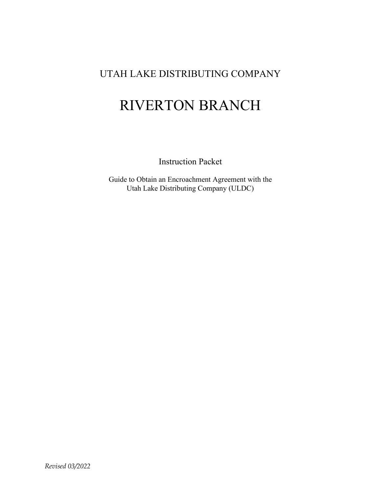## UTAH LAKE DISTRIBUTING COMPANY

# RIVERTON BRANCH

Instruction Packet

Guide to Obtain an Encroachment Agreement with the Utah Lake Distributing Company (ULDC)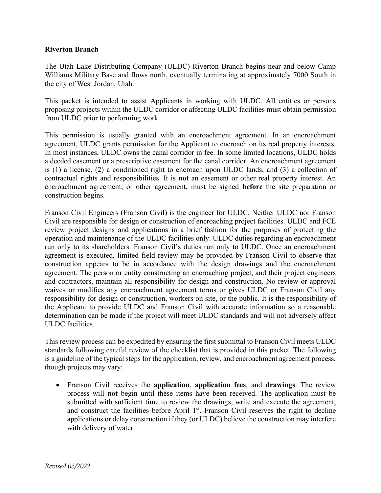#### **Riverton Branch**

The Utah Lake Distributing Company (ULDC) Riverton Branch begins near and below Camp Williams Military Base and flows north, eventually terminating at approximately 7000 South in the city of West Jordan, Utah.

This packet is intended to assist Applicants in working with ULDC. All entities or persons proposing projects within the ULDC corridor or affecting ULDC facilities must obtain permission from ULDC prior to performing work.

This permission is usually granted with an encroachment agreement. In an encroachment agreement, ULDC grants permission for the Applicant to encroach on its real property interests. In most instances, ULDC owns the canal corridor in fee. In some limited locations, ULDC holds a deeded easement or a prescriptive easement for the canal corridor. An encroachment agreement is (1) a license, (2) a conditioned right to encroach upon ULDC lands, and (3) a collection of contractual rights and responsibilities. It is **not** an easement or other real property interest. An encroachment agreement, or other agreement, must be signed **before** the site preparation or construction begins.

Franson Civil Engineers (Franson Civil) is the engineer for ULDC. Neither ULDC nor Franson Civil are responsible for design or construction of encroaching project facilities. ULDC and FCE review project designs and applications in a brief fashion for the purposes of protecting the operation and maintenance of the ULDC facilities only. ULDC duties regarding an encroachment run only to its shareholders. Franson Civil's duties run only to ULDC. Once an encroachment agreement is executed, limited field review may be provided by Franson Civil to observe that construction appears to be in accordance with the design drawings and the encroachment agreement. The person or entity constructing an encroaching project, and their project engineers and contractors, maintain all responsibility for design and construction. No review or approval waives or modifies any encroachment agreement terms or gives ULDC or Franson Civil any responsibility for design or construction, workers on site, or the public. It is the responsibility of the Applicant to provide ULDC and Franson Civil with accurate information so a reasonable determination can be made if the project will meet ULDC standards and will not adversely affect ULDC facilities.

This review process can be expedited by ensuring the first submittal to Franson Civil meets ULDC standards following careful review of the checklist that is provided in this packet. The following is a guideline of the typical steps for the application, review, and encroachment agreement process, though projects may vary:

• Franson Civil receives the **application**, **application fees**, and **drawings**. The review process will **not** begin until these items have been received. The application must be submitted with sufficient time to review the drawings, write and execute the agreement, and construct the facilities before April  $1<sup>st</sup>$ . Franson Civil reserves the right to decline applications or delay construction if they (or ULDC) believe the construction may interfere with delivery of water.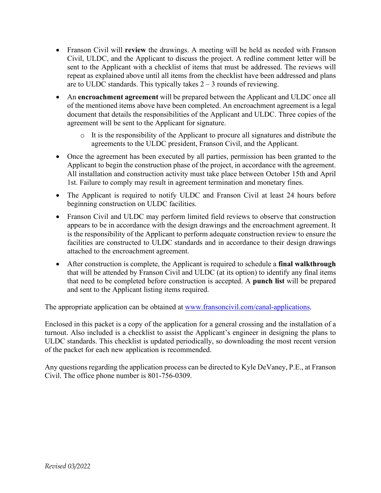- Franson Civil will **review** the drawings. A meeting will be held as needed with Franson Civil, ULDC, and the Applicant to discuss the project. A redline comment letter will be sent to the Applicant with a checklist of items that must be addressed. The reviews will repeat as explained above until all items from the checklist have been addressed and plans are to ULDC standards. This typically takes  $2 - 3$  rounds of reviewing.
- An **encroachment agreement** will be prepared between the Applicant and ULDC once all of the mentioned items above have been completed. An encroachment agreement is a legal document that details the responsibilities of the Applicant and ULDC. Three copies of the agreement will be sent to the Applicant for signature.
	- $\circ$  It is the responsibility of the Applicant to procure all signatures and distribute the agreements to the ULDC president, Franson Civil, and the Applicant.
- Once the agreement has been executed by all parties, permission has been granted to the Applicant to begin the construction phase of the project, in accordance with the agreement. All installation and construction activity must take place between October 15th and April 1st. Failure to comply may result in agreement termination and monetary fines.
- The Applicant is required to notify ULDC and Franson Civil at least 24 hours before beginning construction on ULDC facilities.
- Franson Civil and ULDC may perform limited field reviews to observe that construction appears to be in accordance with the design drawings and the encroachment agreement. It is the responsibility of the Applicant to perform adequate construction review to ensure the facilities are constructed to ULDC standards and in accordance to their design drawings attached to the encroachment agreement.
- After construction is complete, the Applicant is required to schedule a **final walkthrough** that will be attended by Franson Civil and ULDC (at its option) to identify any final items that need to be completed before construction is accepted. A **punch list** will be prepared and sent to the Applicant listing items required.

The appropriate application can be obtained at [www.fransoncivil.com/canal-applications.](http://www.fransoncivil.com/canal-applications)

Enclosed in this packet is a copy of the application for a general crossing and the installation of a turnout. Also included is a checklist to assist the Applicant's engineer in designing the plans to ULDC standards. This checklist is updated periodically, so downloading the most recent version of the packet for each new application is recommended.

Any questions regarding the application process can be directed to Kyle DeVaney, P.E., at Franson Civil. The office phone number is 801-756-0309.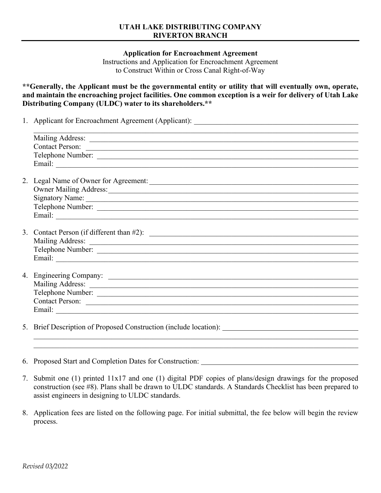#### **UTAH LAKE DISTRIBUTING COMPANY RIVERTON BRANCH**

**Application for Encroachment Agreement**

Instructions and Application for Encroachment Agreement to Construct Within or Cross Canal Right-of-Way

**\*\*Generally, the Applicant must be the governmental entity or utility that will eventually own, operate, and maintain the encroaching project facilities. One common exception is a weir for delivery of Utah Lake Distributing Company (ULDC) water to its shareholders.\*\*** 

| 1. Applicant for Encroachment Agreement (Applicant): |  |
|------------------------------------------------------|--|
|                                                      |  |

| Contact Person:                                                   |
|-------------------------------------------------------------------|
|                                                                   |
|                                                                   |
| 2. Legal Name of Owner for Agreement:                             |
| Owner Mailing Address:                                            |
|                                                                   |
|                                                                   |
|                                                                   |
|                                                                   |
|                                                                   |
|                                                                   |
|                                                                   |
|                                                                   |
|                                                                   |
|                                                                   |
| Telephone Number:                                                 |
|                                                                   |
|                                                                   |
| 5. Brief Description of Proposed Construction (include location): |

6. Proposed Start and Completion Dates for Construction:

7. Submit one (1) printed 11x17 and one (1) digital PDF copies of plans/design drawings for the proposed construction (see #8). Plans shall be drawn to ULDC standards. A Standards Checklist has been prepared to assist engineers in designing to ULDC standards.

 $\mathcal{L}_\text{max}$  , and the contribution of the contribution of the contribution of the contribution of the contribution of the contribution of the contribution of the contribution of the contribution of the contribution of t

8. Application fees are listed on the following page. For initial submittal, the fee below will begin the review process.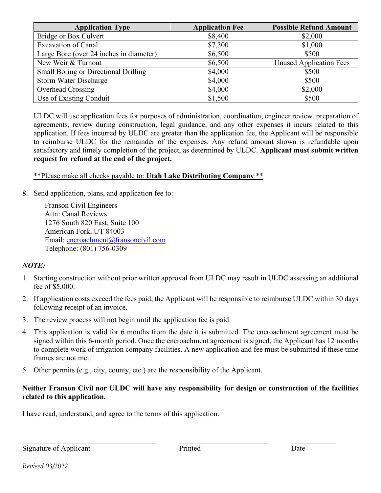| <b>Application Type</b>                     | <b>Application Fee</b> | <b>Possible Refund Amount</b>  |
|---------------------------------------------|------------------------|--------------------------------|
| Bridge or Box Culvert                       | \$8,400                | \$2,000                        |
| Excavation of Canal                         | \$7,300                | \$1,000                        |
| Large Bore (over 24 inches in diameter)     | \$6,500                | \$500                          |
| New Weir & Turnout                          | \$6,500                | <b>Unused Application Fees</b> |
| <b>Small Boring or Directional Drilling</b> | \$4,000                | \$500                          |
| <b>Storm Water Discharge</b>                | \$4,000                | \$500                          |
| Overhead Crossing                           | \$4,000                | \$2,000                        |
| Use of Existing Conduit                     | \$1,500                | \$500                          |

ULDC will use application fees for purposes of administration, coordination, engineer review, preparation of agreements, review during construction, legal guidance, and any other expenses it incurs related to this application. If fees incurred by ULDC are greater than the application fee, the Applicant will be responsible to reimburse ULDC for the remainder of the expenses. Any refund amount shown is refundable upon satisfactory and timely completion of the project, as determined by ULDC. **Applicant must submit written request for refund at the end of the project.**

## \*\*Please make all checks payable to: **Utah Lake Distributing Company**.\*\*

8. Send application, plans, and application fee to:

Franson Civil Engineers Attn: Canal Reviews 1276 South 820 East, Suite 100 American Fork, UT 84003 Email: [encroachment@fransoncivil.com](mailto:encroachment@fransoncivil.com) Telephone: (801) 756-0309

## *NOTE:*

- 1. Starting construction without prior written approval from ULDC may result in ULDC assessing an additional fee of \$5,000.
- 2. If application costs exceed the fees paid, the Applicant will be responsible to reimburse ULDC within 30 days following receipt of an invoice.
- 3. The review process will not begin until the application fee is paid.
- 4. This application is valid for 6 months from the date it is submitted. The encroachment agreement must be signed within this 6-month period. Once the encroachment agreement is signed, the Applicant has 12 months to complete work of irrigation company facilities. A new application and fee must be submitted if these time frames are not met.
- 5. Other permits (e.g., city, county, etc.) are the responsibility of the Applicant.

### **Neither Franson Civil nor ULDC will have any responsibility for design or construction of the facilities related to this application.**

I have read, understand, and agree to the terms of this application.

 $\overline{a}$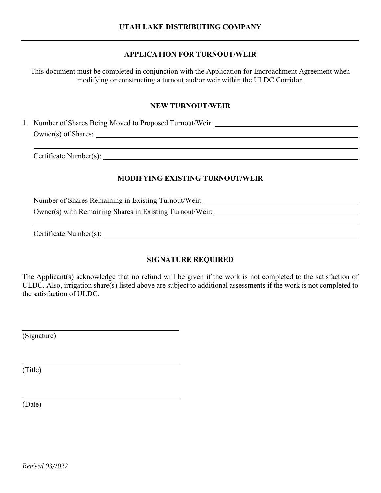### **APPLICATION FOR TURNOUT/WEIR**

This document must be completed in conjunction with the Application for Encroachment Agreement when modifying or constructing a turnout and/or weir within the ULDC Corridor.

#### **NEW TURNOUT/WEIR**

1. Number of Shares Being Moved to Proposed Turnout/Weir: Owner(s) of Shares:

Certificate Number(s):

## **MODIFYING EXISTING TURNOUT/WEIR**

 Number of Shares Remaining in Existing Turnout/Weir: Owner(s) with Remaining Shares in Existing Turnout/Weir:

Certificate Number(s):

## **SIGNATURE REQUIRED**

The Applicant(s) acknowledge that no refund will be given if the work is not completed to the satisfaction of ULDC. Also, irrigation share(s) listed above are subject to additional assessments if the work is not completed to the satisfaction of ULDC.

(Signature)

(Title)

(Date)

*Revised 03/2022*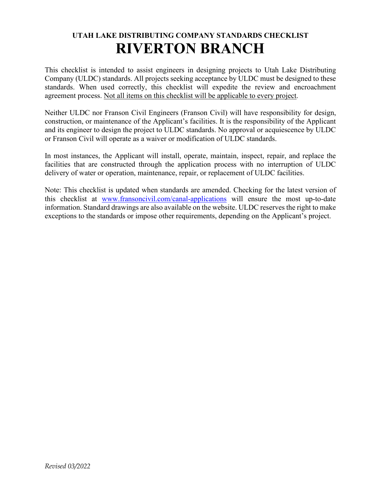## **UTAH LAKE DISTRIBUTING COMPANY STANDARDS CHECKLIST RIVERTON BRANCH**

This checklist is intended to assist engineers in designing projects to Utah Lake Distributing Company (ULDC) standards. All projects seeking acceptance by ULDC must be designed to these standards. When used correctly, this checklist will expedite the review and encroachment agreement process. Not all items on this checklist will be applicable to every project.

Neither ULDC nor Franson Civil Engineers (Franson Civil) will have responsibility for design, construction, or maintenance of the Applicant's facilities. It is the responsibility of the Applicant and its engineer to design the project to ULDC standards. No approval or acquiescence by ULDC or Franson Civil will operate as a waiver or modification of ULDC standards.

In most instances, the Applicant will install, operate, maintain, inspect, repair, and replace the facilities that are constructed through the application process with no interruption of ULDC delivery of water or operation, maintenance, repair, or replacement of ULDC facilities.

Note: This checklist is updated when standards are amended. Checking for the latest version of this checklist at [www.fransoncivil.com/canal-applications](http://www.fransoncivil.com/canal-applications) will ensure the most up-to-date information. Standard drawings are also available on the website. ULDC reserves the right to make exceptions to the standards or impose other requirements, depending on the Applicant's project.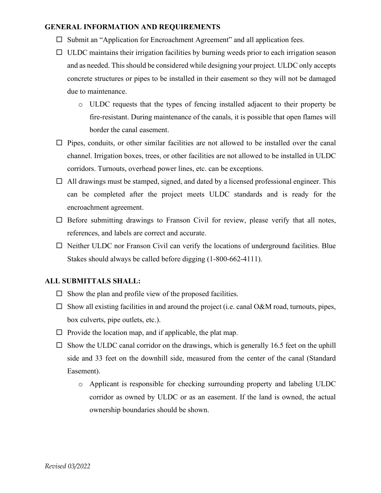#### **GENERAL INFORMATION AND REQUIREMENTS**

- $\Box$  Submit an "Application for Encroachment Agreement" and all application fees.
- $\Box$  ULDC maintains their irrigation facilities by burning weeds prior to each irrigation season and as needed. This should be considered while designing your project. ULDC only accepts concrete structures or pipes to be installed in their easement so they will not be damaged due to maintenance.
	- o ULDC requests that the types of fencing installed adjacent to their property be fire-resistant. During maintenance of the canals, it is possible that open flames will border the canal easement.
- $\Box$  Pipes, conduits, or other similar facilities are not allowed to be installed over the canal channel. Irrigation boxes, trees, or other facilities are not allowed to be installed in ULDC corridors. Turnouts, overhead power lines, etc. can be exceptions.
- $\Box$  All drawings must be stamped, signed, and dated by a licensed professional engineer. This can be completed after the project meets ULDC standards and is ready for the encroachment agreement.
- $\Box$  Before submitting drawings to Franson Civil for review, please verify that all notes, references, and labels are correct and accurate.
- $\Box$  Neither ULDC nor Franson Civil can verify the locations of underground facilities. Blue Stakes should always be called before digging (1-800-662-4111).

#### **ALL SUBMITTALS SHALL:**

- $\Box$  Show the plan and profile view of the proposed facilities.
- $\Box$  Show all existing facilities in and around the project (i.e. canal O&M road, turnouts, pipes, box culverts, pipe outlets, etc.).
- $\Box$  Provide the location map, and if applicable, the plat map.
- $\square$  Show the ULDC canal corridor on the drawings, which is generally 16.5 feet on the uphill side and 33 feet on the downhill side, measured from the center of the canal (Standard Easement).
	- o Applicant is responsible for checking surrounding property and labeling ULDC corridor as owned by ULDC or as an easement. If the land is owned, the actual ownership boundaries should be shown.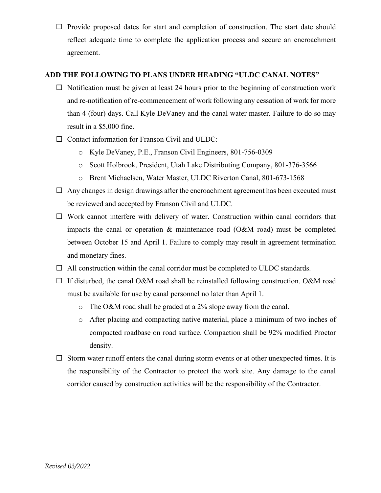$\Box$  Provide proposed dates for start and completion of construction. The start date should reflect adequate time to complete the application process and secure an encroachment agreement.

#### **ADD THE FOLLOWING TO PLANS UNDER HEADING "ULDC CANAL NOTES"**

- $\Box$  Notification must be given at least 24 hours prior to the beginning of construction work and re-notification of re-commencement of work following any cessation of work for more than 4 (four) days. Call Kyle DeVaney and the canal water master. Failure to do so may result in a \$5,000 fine.
- $\Box$  Contact information for Franson Civil and ULDC:
	- o Kyle DeVaney, P.E., Franson Civil Engineers, 801-756-0309
	- o Scott Holbrook, President, Utah Lake Distributing Company, 801-376-3566
	- o Brent Michaelsen, Water Master, ULDC Riverton Canal, 801-673-1568
- $\Box$  Any changes in design drawings after the encroachment agreement has been executed must be reviewed and accepted by Franson Civil and ULDC.
- $\Box$  Work cannot interfere with delivery of water. Construction within canal corridors that impacts the canal or operation & maintenance road (O&M road) must be completed between October 15 and April 1. Failure to comply may result in agreement termination and monetary fines.
- $\Box$  All construction within the canal corridor must be completed to ULDC standards.
- $\Box$  If disturbed, the canal O&M road shall be reinstalled following construction. O&M road must be available for use by canal personnel no later than April 1.
	- o The O&M road shall be graded at a 2% slope away from the canal.
	- o After placing and compacting native material, place a minimum of two inches of compacted roadbase on road surface. Compaction shall be 92% modified Proctor density.
- $\square$  Storm water runoff enters the canal during storm events or at other unexpected times. It is the responsibility of the Contractor to protect the work site. Any damage to the canal corridor caused by construction activities will be the responsibility of the Contractor.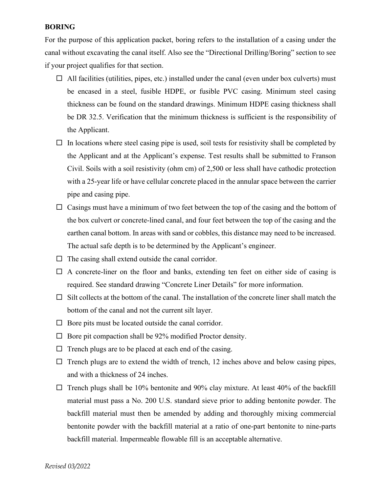#### **BORING**

For the purpose of this application packet, boring refers to the installation of a casing under the canal without excavating the canal itself. Also see the "Directional Drilling/Boring" section to see if your project qualifies for that section.

- $\Box$  All facilities (utilities, pipes, etc.) installed under the canal (even under box culverts) must be encased in a steel, fusible HDPE, or fusible PVC casing. Minimum steel casing thickness can be found on the standard drawings. Minimum HDPE casing thickness shall be DR 32.5. Verification that the minimum thickness is sufficient is the responsibility of the Applicant.
- $\Box$  In locations where steel casing pipe is used, soil tests for resistivity shall be completed by the Applicant and at the Applicant's expense. Test results shall be submitted to Franson Civil. Soils with a soil resistivity (ohm cm) of 2,500 or less shall have cathodic protection with a 25-year life or have cellular concrete placed in the annular space between the carrier pipe and casing pipe.
- $\Box$  Casings must have a minimum of two feet between the top of the casing and the bottom of the box culvert or concrete-lined canal, and four feet between the top of the casing and the earthen canal bottom. In areas with sand or cobbles, this distance may need to be increased. The actual safe depth is to be determined by the Applicant's engineer.
- $\Box$  The casing shall extend outside the canal corridor.
- $\Box$  A concrete-liner on the floor and banks, extending ten feet on either side of casing is required. See standard drawing "Concrete Liner Details" for more information.
- $\Box$  Silt collects at the bottom of the canal. The installation of the concrete liner shall match the bottom of the canal and not the current silt layer.
- $\Box$  Bore pits must be located outside the canal corridor.
- $\Box$  Bore pit compaction shall be 92% modified Proctor density.
- $\Box$  Trench plugs are to be placed at each end of the casing.
- $\Box$  Trench plugs are to extend the width of trench, 12 inches above and below casing pipes, and with a thickness of 24 inches.
- $\Box$  Trench plugs shall be 10% bentonite and 90% clay mixture. At least 40% of the backfill material must pass a No. 200 U.S. standard sieve prior to adding bentonite powder. The backfill material must then be amended by adding and thoroughly mixing commercial bentonite powder with the backfill material at a ratio of one-part bentonite to nine-parts backfill material. Impermeable flowable fill is an acceptable alternative.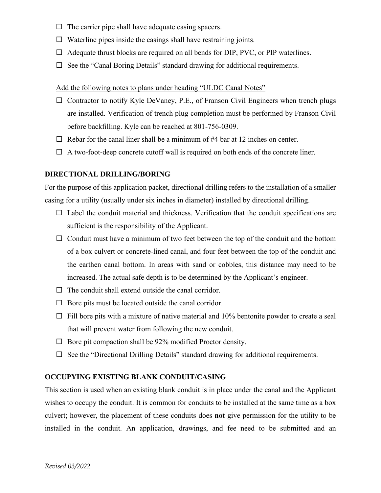- $\Box$  The carrier pipe shall have adequate casing spacers.
- $\Box$  Waterline pipes inside the casings shall have restraining joints.
- $\Box$  Adequate thrust blocks are required on all bends for DIP, PVC, or PIP waterlines.
- $\Box$  See the "Canal Boring Details" standard drawing for additional requirements.

#### Add the following notes to plans under heading "ULDC Canal Notes"

- $\Box$  Contractor to notify Kyle DeVaney, P.E., of Franson Civil Engineers when trench plugs are installed. Verification of trench plug completion must be performed by Franson Civil before backfilling. Kyle can be reached at 801-756-0309.
- $\Box$  Rebar for the canal liner shall be a minimum of #4 bar at 12 inches on center.
- $\Box$  A two-foot-deep concrete cutoff wall is required on both ends of the concrete liner.

#### **DIRECTIONAL DRILLING/BORING**

For the purpose of this application packet, directional drilling refers to the installation of a smaller casing for a utility (usually under six inches in diameter) installed by directional drilling.

- $\Box$  Label the conduit material and thickness. Verification that the conduit specifications are sufficient is the responsibility of the Applicant.
- $\Box$  Conduit must have a minimum of two feet between the top of the conduit and the bottom of a box culvert or concrete-lined canal, and four feet between the top of the conduit and the earthen canal bottom. In areas with sand or cobbles, this distance may need to be increased. The actual safe depth is to be determined by the Applicant's engineer.
- $\Box$  The conduit shall extend outside the canal corridor.
- $\Box$  Bore pits must be located outside the canal corridor.
- $\Box$  Fill bore pits with a mixture of native material and 10% bentonite powder to create a seal that will prevent water from following the new conduit.
- $\Box$  Bore pit compaction shall be 92% modified Proctor density.
- $\Box$  See the "Directional Drilling Details" standard drawing for additional requirements.

#### **OCCUPYING EXISTING BLANK CONDUIT/CASING**

This section is used when an existing blank conduit is in place under the canal and the Applicant wishes to occupy the conduit. It is common for conduits to be installed at the same time as a box culvert; however, the placement of these conduits does **not** give permission for the utility to be installed in the conduit. An application, drawings, and fee need to be submitted and an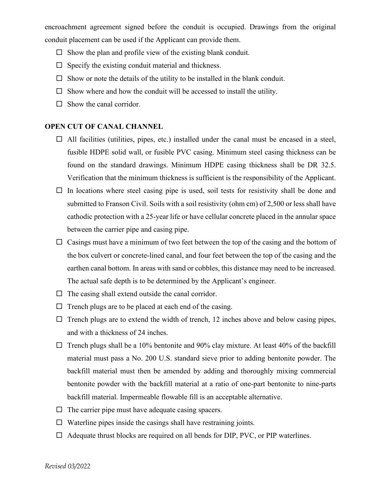encroachment agreement signed before the conduit is occupied. Drawings from the original conduit placement can be used if the Applicant can provide them.

- $\Box$  Show the plan and profile view of the existing blank conduit.
- $\Box$  Specify the existing conduit material and thickness.
- $\square$  Show or note the details of the utility to be installed in the blank conduit.
- $\square$  Show where and how the conduit will be accessed to install the utility.
- $\Box$  Show the canal corridor.

#### **OPEN CUT OF CANAL CHANNEL**

- $\Box$  All facilities (utilities, pipes, etc.) installed under the canal must be encased in a steel, fusible HDPE solid wall, or fusible PVC casing. Minimum steel casing thickness can be found on the standard drawings. Minimum HDPE casing thickness shall be DR 32.5. Verification that the minimum thickness is sufficient is the responsibility of the Applicant.
- $\Box$  In locations where steel casing pipe is used, soil tests for resistivity shall be done and submitted to Franson Civil. Soils with a soil resistivity (ohm cm) of 2,500 or less shall have cathodic protection with a 25-year life or have cellular concrete placed in the annular space between the carrier pipe and casing pipe.
- $\Box$  Casings must have a minimum of two feet between the top of the casing and the bottom of the box culvert or concrete-lined canal, and four feet between the top of the casing and the earthen canal bottom. In areas with sand or cobbles, this distance may need to be increased. The actual safe depth is to be determined by the Applicant's engineer.
- $\Box$  The casing shall extend outside the canal corridor.
- $\Box$  Trench plugs are to be placed at each end of the casing.
- $\Box$  Trench plugs are to extend the width of trench, 12 inches above and below casing pipes, and with a thickness of 24 inches.
- $\Box$  Trench plugs shall be a 10% bentonite and 90% clay mixture. At least 40% of the backfill material must pass a No. 200 U.S. standard sieve prior to adding bentonite powder. The backfill material must then be amended by adding and thoroughly mixing commercial bentonite powder with the backfill material at a ratio of one-part bentonite to nine-parts backfill material. Impermeable flowable fill is an acceptable alternative.
- $\Box$  The carrier pipe must have adequate casing spacers.
- $\Box$  Waterline pipes inside the casings shall have restraining joints.
- $\Box$  Adequate thrust blocks are required on all bends for DIP, PVC, or PIP waterlines.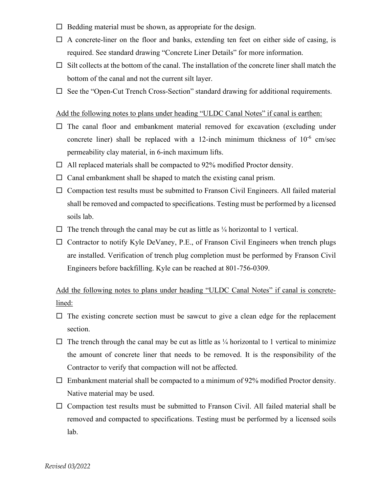- $\Box$  Bedding material must be shown, as appropriate for the design.
- $\Box$  A concrete-liner on the floor and banks, extending ten feet on either side of casing, is required. See standard drawing "Concrete Liner Details" for more information.
- $\Box$  Silt collects at the bottom of the canal. The installation of the concrete liner shall match the bottom of the canal and not the current silt layer.
- $\Box$  See the "Open-Cut Trench Cross-Section" standard drawing for additional requirements.

#### Add the following notes to plans under heading "ULDC Canal Notes" if canal is earthen:

- $\Box$  The canal floor and embankment material removed for excavation (excluding under concrete liner) shall be replaced with a 12-inch minimum thickness of  $10^{-6}$  cm/sec permeability clay material, in 6-inch maximum lifts.
- $\Box$  All replaced materials shall be compacted to 92% modified Proctor density.
- $\Box$  Canal embankment shall be shaped to match the existing canal prism.
- $\Box$  Compaction test results must be submitted to Franson Civil Engineers. All failed material shall be removed and compacted to specifications. Testing must be performed by a licensed soils lab.
- $\Box$  The trench through the canal may be cut as little as  $\frac{1}{4}$  horizontal to 1 vertical.
- $\Box$  Contractor to notify Kyle DeVaney, P.E., of Franson Civil Engineers when trench plugs are installed. Verification of trench plug completion must be performed by Franson Civil Engineers before backfilling. Kyle can be reached at 801-756-0309.

## Add the following notes to plans under heading "ULDC Canal Notes" if canal is concretelined:

- $\Box$  The existing concrete section must be sawcut to give a clean edge for the replacement section.
- $\Box$  The trench through the canal may be cut as little as  $\frac{1}{4}$  horizontal to 1 vertical to minimize the amount of concrete liner that needs to be removed. It is the responsibility of the Contractor to verify that compaction will not be affected.
- $\Box$  Embankment material shall be compacted to a minimum of 92% modified Proctor density. Native material may be used.
- $\Box$  Compaction test results must be submitted to Franson Civil. All failed material shall be removed and compacted to specifications. Testing must be performed by a licensed soils lab.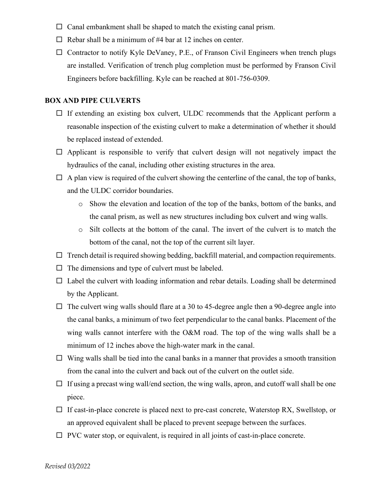- $\Box$  Canal embankment shall be shaped to match the existing canal prism.
- $\Box$  Rebar shall be a minimum of #4 bar at 12 inches on center.
- $\Box$  Contractor to notify Kyle DeVaney, P.E., of Franson Civil Engineers when trench plugs are installed. Verification of trench plug completion must be performed by Franson Civil Engineers before backfilling. Kyle can be reached at 801-756-0309.

#### **BOX AND PIPE CULVERTS**

- $\Box$  If extending an existing box culvert, ULDC recommends that the Applicant perform a reasonable inspection of the existing culvert to make a determination of whether it should be replaced instead of extended.
- $\Box$  Applicant is responsible to verify that culvert design will not negatively impact the hydraulics of the canal, including other existing structures in the area.
- $\Box$  A plan view is required of the culvert showing the centerline of the canal, the top of banks, and the ULDC corridor boundaries.
	- o Show the elevation and location of the top of the banks, bottom of the banks, and the canal prism, as well as new structures including box culvert and wing walls.
	- o Silt collects at the bottom of the canal. The invert of the culvert is to match the bottom of the canal, not the top of the current silt layer.
- $\Box$  Trench detail is required showing bedding, backfill material, and compaction requirements.
- $\Box$  The dimensions and type of culvert must be labeled.
- $\Box$  Label the culvert with loading information and rebar details. Loading shall be determined by the Applicant.
- $\Box$  The culvert wing walls should flare at a 30 to 45-degree angle then a 90-degree angle into the canal banks, a minimum of two feet perpendicular to the canal banks. Placement of the wing walls cannot interfere with the O&M road. The top of the wing walls shall be a minimum of 12 inches above the high-water mark in the canal.
- $\Box$  Wing walls shall be tied into the canal banks in a manner that provides a smooth transition from the canal into the culvert and back out of the culvert on the outlet side.
- $\Box$  If using a precast wing wall/end section, the wing walls, apron, and cutoff wall shall be one piece.
- $\Box$  If cast-in-place concrete is placed next to pre-cast concrete, Waterstop RX, Swellstop, or an approved equivalent shall be placed to prevent seepage between the surfaces.
- $\Box$  PVC water stop, or equivalent, is required in all joints of cast-in-place concrete.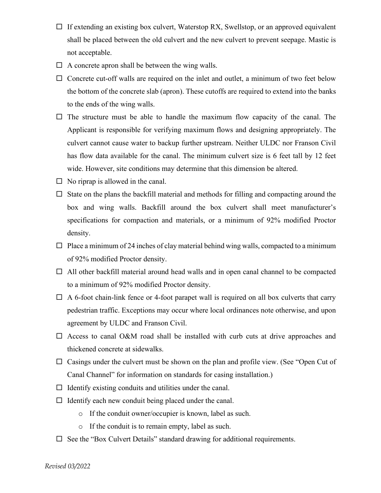- $\Box$  If extending an existing box culvert, Waterstop RX, Swellstop, or an approved equivalent shall be placed between the old culvert and the new culvert to prevent seepage. Mastic is not acceptable.
- $\Box$  A concrete apron shall be between the wing walls.
- $\Box$  Concrete cut-off walls are required on the inlet and outlet, a minimum of two feet below the bottom of the concrete slab (apron). These cutoffs are required to extend into the banks to the ends of the wing walls.
- $\Box$  The structure must be able to handle the maximum flow capacity of the canal. The Applicant is responsible for verifying maximum flows and designing appropriately. The culvert cannot cause water to backup further upstream. Neither ULDC nor Franson Civil has flow data available for the canal. The minimum culvert size is 6 feet tall by 12 feet wide. However, site conditions may determine that this dimension be altered.
- $\Box$  No riprap is allowed in the canal.
- $\Box$  State on the plans the backfill material and methods for filling and compacting around the box and wing walls. Backfill around the box culvert shall meet manufacturer's specifications for compaction and materials, or a minimum of 92% modified Proctor density.
- $\Box$  Place a minimum of 24 inches of clay material behind wing walls, compacted to a minimum of 92% modified Proctor density.
- $\Box$  All other backfill material around head walls and in open canal channel to be compacted to a minimum of 92% modified Proctor density.
- $\Box$  A 6-foot chain-link fence or 4-foot parapet wall is required on all box culverts that carry pedestrian traffic. Exceptions may occur where local ordinances note otherwise, and upon agreement by ULDC and Franson Civil.
- $\Box$  Access to canal O&M road shall be installed with curb cuts at drive approaches and thickened concrete at sidewalks.
- $\Box$  Casings under the culvert must be shown on the plan and profile view. (See "Open Cut of Canal Channel" for information on standards for casing installation.)
- $\Box$  Identify existing conduits and utilities under the canal.
- $\Box$  Identify each new conduit being placed under the canal.
	- o If the conduit owner/occupier is known, label as such.
	- o If the conduit is to remain empty, label as such.
- $\Box$  See the "Box Culvert Details" standard drawing for additional requirements.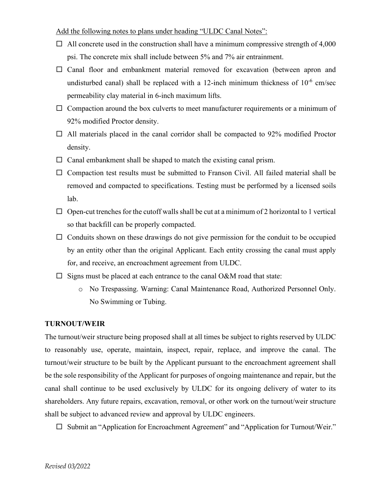#### Add the following notes to plans under heading "ULDC Canal Notes":

- $\Box$  All concrete used in the construction shall have a minimum compressive strength of 4,000 psi. The concrete mix shall include between 5% and 7% air entrainment.
- $\square$  Canal floor and embankment material removed for excavation (between apron and undisturbed canal) shall be replaced with a 12-inch minimum thickness of  $10^{-6}$  cm/sec permeability clay material in 6-inch maximum lifts.
- $\Box$  Compaction around the box culverts to meet manufacturer requirements or a minimum of 92% modified Proctor density.
- $\Box$  All materials placed in the canal corridor shall be compacted to 92% modified Proctor density.
- $\Box$  Canal embankment shall be shaped to match the existing canal prism.
- $\Box$  Compaction test results must be submitted to Franson Civil. All failed material shall be removed and compacted to specifications. Testing must be performed by a licensed soils lab.
- $\Box$  Open-cut trenches for the cutoff walls shall be cut at a minimum of 2 horizontal to 1 vertical so that backfill can be properly compacted.
- $\Box$  Conduits shown on these drawings do not give permission for the conduit to be occupied by an entity other than the original Applicant. Each entity crossing the canal must apply for, and receive, an encroachment agreement from ULDC.
- $\Box$  Signs must be placed at each entrance to the canal O&M road that state:
	- o No Trespassing. Warning: Canal Maintenance Road, Authorized Personnel Only. No Swimming or Tubing.

#### **TURNOUT/WEIR**

The turnout/weir structure being proposed shall at all times be subject to rights reserved by ULDC to reasonably use, operate, maintain, inspect, repair, replace, and improve the canal. The turnout/weir structure to be built by the Applicant pursuant to the encroachment agreement shall be the sole responsibility of the Applicant for purposes of ongoing maintenance and repair, but the canal shall continue to be used exclusively by ULDC for its ongoing delivery of water to its shareholders. Any future repairs, excavation, removal, or other work on the turnout/weir structure shall be subject to advanced review and approval by ULDC engineers.

 $\square$  Submit an "Application for Encroachment Agreement" and "Application for Turnout/Weir."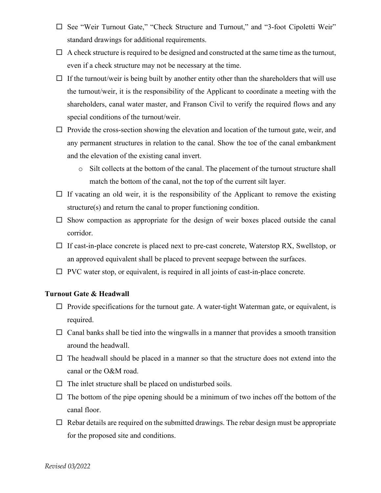- □ See "Weir Turnout Gate," "Check Structure and Turnout," and "3-foot Cipoletti Weir" standard drawings for additional requirements.
- $\Box$  A check structure is required to be designed and constructed at the same time as the turnout, even if a check structure may not be necessary at the time.
- $\Box$  If the turnout/weir is being built by another entity other than the shareholders that will use the turnout/weir, it is the responsibility of the Applicant to coordinate a meeting with the shareholders, canal water master, and Franson Civil to verify the required flows and any special conditions of the turnout/weir.
- $\Box$  Provide the cross-section showing the elevation and location of the turnout gate, weir, and any permanent structures in relation to the canal. Show the toe of the canal embankment and the elevation of the existing canal invert.
	- o Silt collects at the bottom of the canal. The placement of the turnout structure shall match the bottom of the canal, not the top of the current silt layer.
- $\Box$  If vacating an old weir, it is the responsibility of the Applicant to remove the existing structure(s) and return the canal to proper functioning condition.
- $\square$  Show compaction as appropriate for the design of weir boxes placed outside the canal corridor.
- $\Box$  If cast-in-place concrete is placed next to pre-cast concrete, Waterstop RX, Swellstop, or an approved equivalent shall be placed to prevent seepage between the surfaces.
- $\Box$  PVC water stop, or equivalent, is required in all joints of cast-in-place concrete.

#### **Turnout Gate & Headwall**

- $\Box$  Provide specifications for the turnout gate. A water-tight Waterman gate, or equivalent, is required.
- $\Box$  Canal banks shall be tied into the wingwalls in a manner that provides a smooth transition around the headwall.
- $\Box$  The headwall should be placed in a manner so that the structure does not extend into the canal or the O&M road.
- $\Box$  The inlet structure shall be placed on undisturbed soils.
- $\Box$  The bottom of the pipe opening should be a minimum of two inches off the bottom of the canal floor.
- $\Box$  Rebar details are required on the submitted drawings. The rebar design must be appropriate for the proposed site and conditions.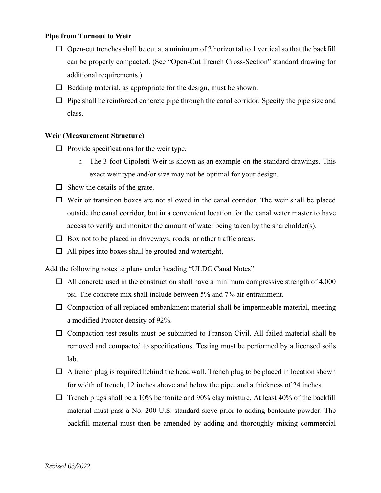#### **Pipe from Turnout to Weir**

- $\Box$  Open-cut trenches shall be cut at a minimum of 2 horizontal to 1 vertical so that the backfill can be properly compacted. (See "Open-Cut Trench Cross-Section" standard drawing for additional requirements.)
- $\Box$  Bedding material, as appropriate for the design, must be shown.
- $\Box$  Pipe shall be reinforced concrete pipe through the canal corridor. Specify the pipe size and class.

#### **Weir (Measurement Structure)**

- $\Box$  Provide specifications for the weir type.
	- o The 3-foot Cipoletti Weir is shown as an example on the standard drawings. This exact weir type and/or size may not be optimal for your design.
- $\Box$  Show the details of the grate.
- $\Box$  Weir or transition boxes are not allowed in the canal corridor. The weir shall be placed outside the canal corridor, but in a convenient location for the canal water master to have access to verify and monitor the amount of water being taken by the shareholder(s).
- $\Box$  Box not to be placed in driveways, roads, or other traffic areas.
- $\Box$  All pipes into boxes shall be grouted and watertight.

#### Add the following notes to plans under heading "ULDC Canal Notes"

- $\Box$  All concrete used in the construction shall have a minimum compressive strength of 4,000 psi. The concrete mix shall include between 5% and 7% air entrainment.
- $\Box$  Compaction of all replaced embankment material shall be impermeable material, meeting a modified Proctor density of 92%.
- $\Box$  Compaction test results must be submitted to Franson Civil. All failed material shall be removed and compacted to specifications. Testing must be performed by a licensed soils lab.
- $\Box$  A trench plug is required behind the head wall. Trench plug to be placed in location shown for width of trench, 12 inches above and below the pipe, and a thickness of 24 inches.
- $\Box$  Trench plugs shall be a 10% bentonite and 90% clay mixture. At least 40% of the backfill material must pass a No. 200 U.S. standard sieve prior to adding bentonite powder. The backfill material must then be amended by adding and thoroughly mixing commercial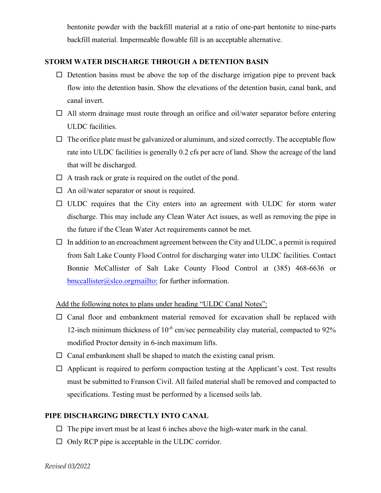bentonite powder with the backfill material at a ratio of one-part bentonite to nine-parts backfill material. Impermeable flowable fill is an acceptable alternative.

#### **STORM WATER DISCHARGE THROUGH A DETENTION BASIN**

- $\Box$  Detention basins must be above the top of the discharge irrigation pipe to prevent back flow into the detention basin. Show the elevations of the detention basin, canal bank, and canal invert.
- $\Box$  All storm drainage must route through an orifice and oil/water separator before entering ULDC facilities.
- $\Box$  The orifice plate must be galvanized or aluminum, and sized correctly. The acceptable flow rate into ULDC facilities is generally 0.2 cfs per acre of land. Show the acreage of the land that will be discharged.
- $\Box$  A trash rack or grate is required on the outlet of the pond.
- $\Box$  An oil/water separator or snout is required.
- $\Box$  ULDC requires that the City enters into an agreement with ULDC for storm water discharge. This may include any Clean Water Act issues, as well as removing the pipe in the future if the Clean Water Act requirements cannot be met.
- $\Box$  In addition to an encroachment agreement between the City and ULDC, a permit is required from Salt Lake County Flood Control for discharging water into ULDC facilities. Contact Bonnie McCallister of Salt Lake County Flood Control at (385) 468-6636 or bmccallister@slco.org<mailto:> for further information.

#### Add the following notes to plans under heading "ULDC Canal Notes":

- $\square$  Canal floor and embankment material removed for excavation shall be replaced with 12-inch minimum thickness of  $10^{-6}$  cm/sec permeability clay material, compacted to 92% modified Proctor density in 6-inch maximum lifts.
- $\Box$  Canal embankment shall be shaped to match the existing canal prism.
- $\Box$  Applicant is required to perform compaction testing at the Applicant's cost. Test results must be submitted to Franson Civil. All failed material shall be removed and compacted to specifications. Testing must be performed by a licensed soils lab.

#### **PIPE DISCHARGING DIRECTLY INTO CANAL**

- $\Box$  The pipe invert must be at least 6 inches above the high-water mark in the canal.
- $\Box$  Only RCP pipe is acceptable in the ULDC corridor.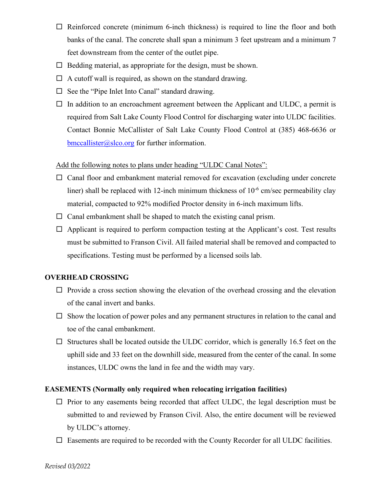- $\Box$  Reinforced concrete (minimum 6-inch thickness) is required to line the floor and both banks of the canal. The concrete shall span a minimum 3 feet upstream and a minimum 7 feet downstream from the center of the outlet pipe.
- $\Box$  Bedding material, as appropriate for the design, must be shown.
- $\Box$  A cutoff wall is required, as shown on the standard drawing.
- $\Box$  See the "Pipe Inlet Into Canal" standard drawing.
- $\Box$  In addition to an encroachment agreement between the Applicant and ULDC, a permit is required from Salt Lake County Flood Control for discharging water into ULDC facilities. Contact Bonnie McCallister of Salt Lake County Flood Control at (385) 468-6636 or [bmccallister@slco.org](mailto:bmccallister@slco.org) for further information.

#### Add the following notes to plans under heading "ULDC Canal Notes":

- $\Box$  Canal floor and embankment material removed for excavation (excluding under concrete liner) shall be replaced with 12-inch minimum thickness of  $10^{-6}$  cm/sec permeability clay material, compacted to 92% modified Proctor density in 6-inch maximum lifts.
- $\Box$  Canal embankment shall be shaped to match the existing canal prism.
- $\Box$  Applicant is required to perform compaction testing at the Applicant's cost. Test results must be submitted to Franson Civil. All failed material shall be removed and compacted to specifications. Testing must be performed by a licensed soils lab.

#### **OVERHEAD CROSSING**

- $\Box$  Provide a cross section showing the elevation of the overhead crossing and the elevation of the canal invert and banks.
- $\square$  Show the location of power poles and any permanent structures in relation to the canal and toe of the canal embankment.
- $\Box$  Structures shall be located outside the ULDC corridor, which is generally 16.5 feet on the uphill side and 33 feet on the downhill side, measured from the center of the canal. In some instances, ULDC owns the land in fee and the width may vary.

#### **EASEMENTS (Normally only required when relocating irrigation facilities)**

- $\Box$  Prior to any easements being recorded that affect ULDC, the legal description must be submitted to and reviewed by Franson Civil. Also, the entire document will be reviewed by ULDC's attorney.
- $\Box$  Easements are required to be recorded with the County Recorder for all ULDC facilities.